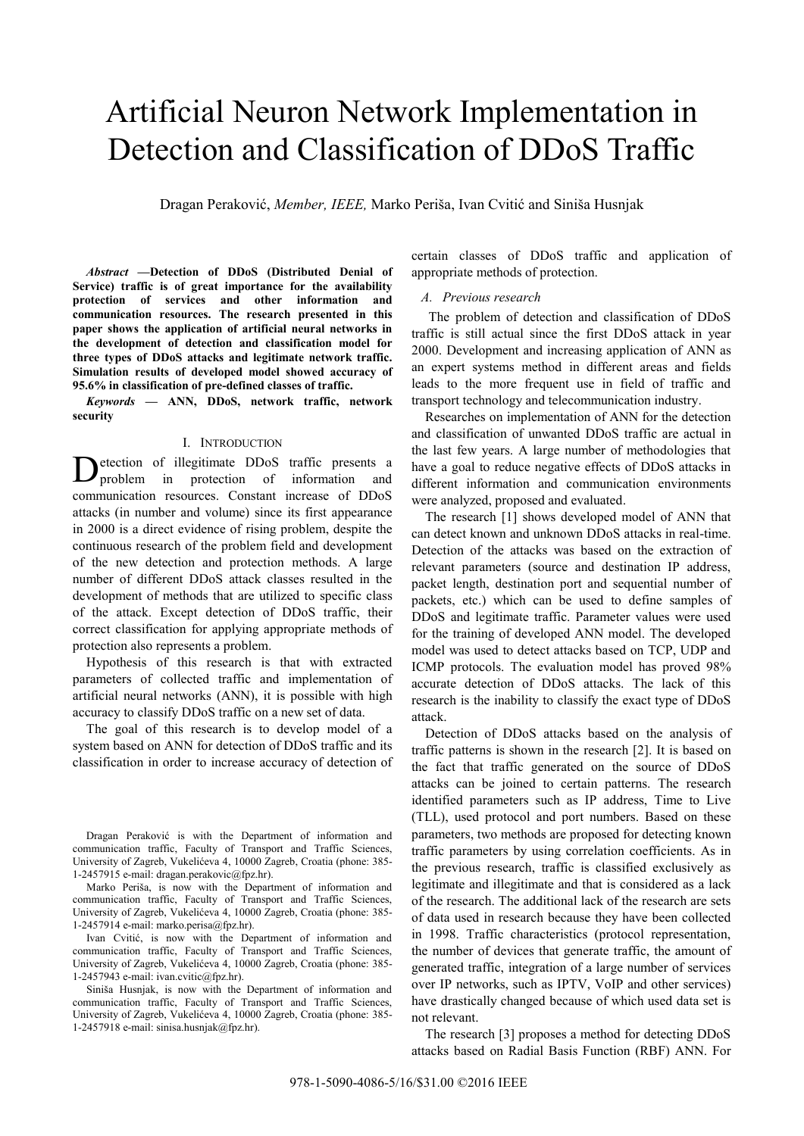# Artificial Neuron Network Implementation in Detection and Classification of DDoS Traffic

Dragan Peraković, *Member, IEEE,* Marko Periša, Ivan Cvitić and Siniša Husnjak

*Abstract* **—Detection of DDoS (Distributed Denial of Service) traffic is of great importance for the availability protection of services and other information and communication resources. The research presented in this paper shows the application of artificial neural networks in the development of detection and classification model for three types of DDoS attacks and legitimate network traffic. Simulation results of developed model showed accuracy of 95.6% in classification of pre-defined classes of traffic.**

*Keywords* **— ANN, DDoS, network traffic, network security**

#### I. INTRODUCTION

etection of illegitimate DDoS traffic presents a problem in protection of information and communication resources. Constant increase of DDoS attacks (in number and volume) since its first appearance in 2000 is a direct evidence of rising problem, despite the continuous research of the problem field and development of the new detection and protection methods. A large number of different DDoS attack classes resulted in the development of methods that are utilized to specific class of the attack. Except detection of DDoS traffic, their correct classification for applying appropriate methods of protection also represents a problem. D

Hypothesis of this research is that with extracted parameters of collected traffic and implementation of artificial neural networks (ANN), it is possible with high accuracy to classify DDoS traffic on a new set of data.

The goal of this research is to develop model of a system based on ANN for detection of DDoS traffic and its classification in order to increase accuracy of detection of

Dragan Peraković is with the Department of information and communication traffic, Faculty of Transport and Traffic Sciences, University of Zagreb, Vukelićeva 4, 10000 Zagreb, Croatia (phone: 385- 1-2457915 e-mail: dragan.perakovic@fpz.hr).

Marko Periša, is now with the Department of information and communication traffic, Faculty of Transport and Traffic Sciences, University of Zagreb, Vukelićeva 4, 10000 Zagreb, Croatia (phone: 385- 1-2457914 e-mail: marko.perisa@fpz.hr).

Ivan Cvitić, is now with the Department of information and communication traffic, Faculty of Transport and Traffic Sciences, University of Zagreb, Vukelićeva 4, 10000 Zagreb, Croatia (phone: 385- 1-2457943 e-mail: ivan.cvitic@fpz.hr).

Siniša Husnjak, is now with the Department of information and communication traffic, Faculty of Transport and Traffic Sciences, University of Zagreb, Vukelićeva 4, 10000 Zagreb, Croatia (phone: 385- 1-2457918 e-mail: sinisa.husnjak@fpz.hr).

certain classes of DDoS traffic and application of appropriate methods of protection.

# *A. Previous research*

The problem of detection and classification of DDoS traffic is still actual since the first DDoS attack in year 2000. Development and increasing application of ANN as an expert systems method in different areas and fields leads to the more frequent use in field of traffic and transport technology and telecommunication industry.

Researches on implementation of ANN for the detection and classification of unwanted DDoS traffic are actual in the last few years. A large number of methodologies that have a goal to reduce negative effects of DDoS attacks in different information and communication environments were analyzed, proposed and evaluated.

The research [1] shows developed model of ANN that can detect known and unknown DDoS attacks in real-time. Detection of the attacks was based on the extraction of relevant parameters (source and destination IP address, packet length, destination port and sequential number of packets, etc.) which can be used to define samples of DDoS and legitimate traffic. Parameter values were used for the training of developed ANN model. The developed model was used to detect attacks based on TCP, UDP and ICMP protocols. The evaluation model has proved 98% accurate detection of DDoS attacks. The lack of this research is the inability to classify the exact type of DDoS attack.

Detection of DDoS attacks based on the analysis of traffic patterns is shown in the research [2]. It is based on the fact that traffic generated on the source of DDoS attacks can be joined to certain patterns. The research identified parameters such as IP address, Time to Live (TLL), used protocol and port numbers. Based on these parameters, two methods are proposed for detecting known traffic parameters by using correlation coefficients. As in the previous research, traffic is classified exclusively as legitimate and illegitimate and that is considered as a lack of the research. The additional lack of the research are sets of data used in research because they have been collected in 1998. Traffic characteristics (protocol representation, the number of devices that generate traffic, the amount of generated traffic, integration of a large number of services over IP networks, such as IPTV, VoIP and other services) have drastically changed because of which used data set is not relevant.

The research [3] proposes a method for detecting DDoS attacks based on Radial Basis Function (RBF) ANN. For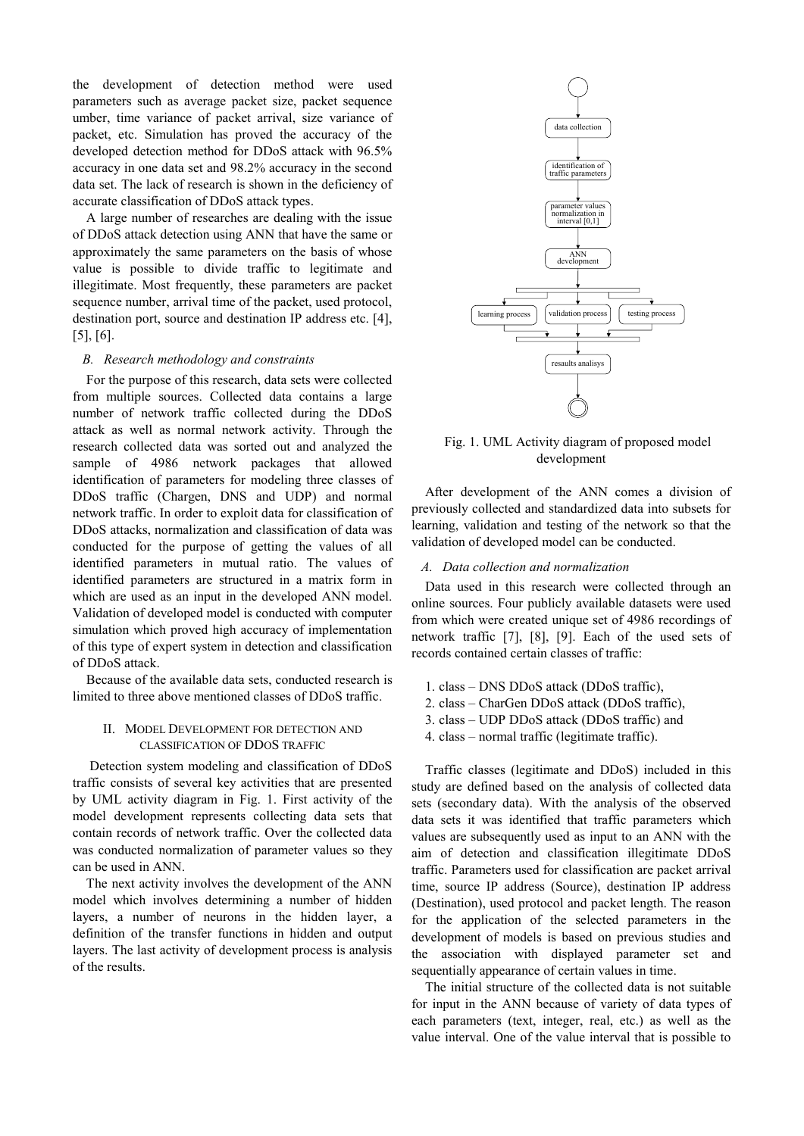the development of detection method were used parameters such as average packet size, packet sequence umber, time variance of packet arrival, size variance of packet, etc. Simulation has proved the accuracy of the developed detection method for DDoS attack with 96.5% accuracy in one data set and 98.2% accuracy in the second data set. The lack of research is shown in the deficiency of accurate classification of DDoS attack types.

A large number of researches are dealing with the issue of DDoS attack detection using ANN that have the same or approximately the same parameters on the basis of whose value is possible to divide traffic to legitimate and illegitimate. Most frequently, these parameters are packet sequence number, arrival time of the packet, used protocol, destination port, source and destination IP address etc. [4], [5], [6].

### *B. Research methodology and constraints*

For the purpose of this research, data sets were collected from multiple sources. Collected data contains a large number of network traffic collected during the DDoS attack as well as normal network activity. Through the research collected data was sorted out and analyzed the sample of 4986 network packages that allowed identification of parameters for modeling three classes of DDoS traffic (Chargen, DNS and UDP) and normal network traffic. In order to exploit data for classification of DDoS attacks, normalization and classification of data was conducted for the purpose of getting the values of all identified parameters in mutual ratio. The values of identified parameters are structured in a matrix form in which are used as an input in the developed ANN model. Validation of developed model is conducted with computer simulation which proved high accuracy of implementation of this type of expert system in detection and classification of DDoS attack.

Because of the available data sets, conducted research is limited to three above mentioned classes of DDoS traffic.

# II. MODEL DEVELOPMENT FOR DETECTION AND CLASSIFICATION OF DDOS TRAFFIC

Detection system modeling and classification of DDoS traffic consists of several key activities that are presented by UML activity diagram in Fig. 1. First activity of the model development represents collecting data sets that contain records of network traffic. Over the collected data was conducted normalization of parameter values so they can be used in ANN.

The next activity involves the development of the ANN model which involves determining a number of hidden layers, a number of neurons in the hidden layer, a definition of the transfer functions in hidden and output layers. The last activity of development process is analysis of the results.



Fig. 1. UML Activity diagram of proposed model development

After development of the ANN comes a division of previously collected and standardized data into subsets for learning, validation and testing of the network so that the validation of developed model can be conducted.

### *A. Data collection and normalization*

Data used in this research were collected through an online sources. Four publicly available datasets were used from which were created unique set of 4986 recordings of network traffic [7], [8], [9]. Each of the used sets of records contained certain classes of traffic:

- 1. class DNS DDoS attack (DDoS traffic),
- 2. class CharGen DDoS attack (DDoS traffic),
- 3. class UDP DDoS attack (DDoS traffic) and
- 4. class normal traffic (legitimate traffic).

Traffic classes (legitimate and DDoS) included in this study are defined based on the analysis of collected data sets (secondary data). With the analysis of the observed data sets it was identified that traffic parameters which values are subsequently used as input to an ANN with the aim of detection and classification illegitimate DDoS traffic. Parameters used for classification are packet arrival time, source IP address (Source), destination IP address (Destination), used protocol and packet length. The reason for the application of the selected parameters in the development of models is based on previous studies and the association with displayed parameter set and sequentially appearance of certain values in time.

The initial structure of the collected data is not suitable for input in the ANN because of variety of data types of each parameters (text, integer, real, etc.) as well as the value interval. One of the value interval that is possible to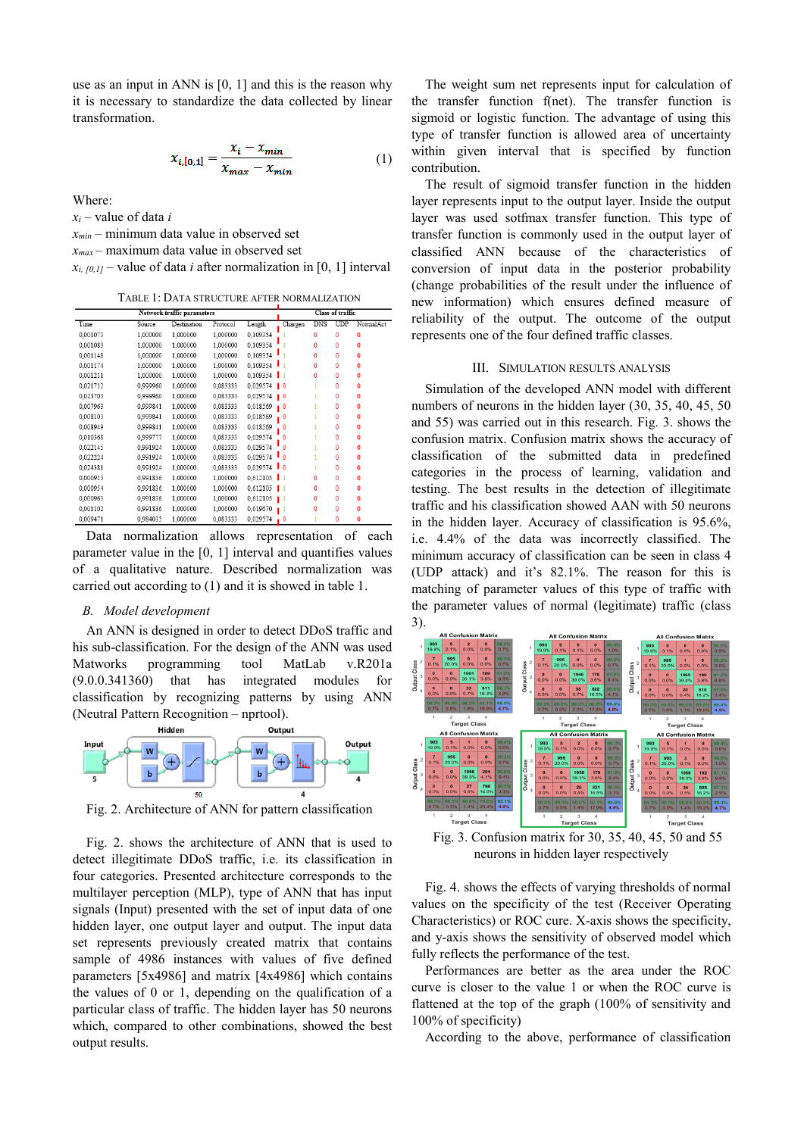use as an input in ANN is  $[0, 1]$  and this is the reason why it is necessary to standardize the data collected by linear transformation.

$$
x_{i,[0,1]} = \frac{x_i - x_{min}}{x_{max} - x_{min}} \tag{1}
$$

Where:

*x<sup>i</sup>* – value of data *i*

*xmin* – minimum data value in observed set *xmax* – maximum data value in observed set

 $x_{i, 10, 11}$  – value of data *i* after normalization in [0, 1] interval

TABLE 1: DATA STRUCTURE AFTER NORMALIZATION

| Network traffic parameters |          |             |          |                | Class of traffic          |     |              |              |
|----------------------------|----------|-------------|----------|----------------|---------------------------|-----|--------------|--------------|
| Time                       | Source   | Destination | Protocol | Length         | Chargen                   | DNS | <b>UDP</b>   | NormalAct    |
| 0,001073                   | 1,000000 | 1,000000    | 1,000000 | 0,109354       |                           | ٥   | 0            | $\mathbf{0}$ |
| 0.001083                   | 1,000000 | 1,000000    | 1,000000 | 0.109354       |                           | Ō   | $\mathbf 0$  | $\mathbf{0}$ |
| 0.001148                   | 1.000000 | 1.000000    | 1,000000 | 0.109354       |                           | ٥   | 0            | $\mathbf{0}$ |
| 0,001174                   | 1.000000 | 1.000000    | 1.000000 | 0,109354       |                           | ٥   | 0            | $\mathbf{0}$ |
| 0,001211                   | 1,000000 | 1,000000    | 1,000000 | $0,109354$   1 |                           | Λ   | 0            | $\mathbf{0}$ |
| 0.021712                   | 0.999960 | 1,000000    | 0.083333 | $0.029574$ 0   |                           |     | 0            | $\mathbf{0}$ |
| 0,023703                   | 0,999960 | 1,000000    | 0,083333 | 0,029574       | $\blacksquare$            |     | $\mathbf 0$  | $\mathbf{0}$ |
| 0.007963                   | 0,999841 | 1,000000    | 0,083333 | 0,018569       | $\mathbf{I}^{\mathbf{0}}$ |     | 0            | $\mathbf{0}$ |
| 0.008103                   | 0.999841 | 1,000000    | 0.083333 | 0.018569       | 0                         |     | $\mathbf 0$  | $\mathbf{0}$ |
| 0.008949                   | 0.999841 | 1,000000    | 0,083333 | 0.018569       | 0                         |     | 0            | $\mathbf{0}$ |
| 0,010368                   | 0.999777 | 1.000000    | 0.083333 | 0,029574       | 0                         |     | 0            | $\mathbf{0}$ |
| 0.022145                   | 0.991924 | 1.000000    | 0.083333 | 0.029574       |                           |     | 0            | $\mathbf{0}$ |
| 0,022224                   | 0,991924 | 1,000000    | 0,083333 | 0,029574       | $\Omega$                  |     | $\mathbf{0}$ | $\mathbf{0}$ |
| 0.024381                   | 0,991924 | 1,000000    | 0,083333 | $0,029574$ 0   |                           |     | 0            | $\Omega$     |
| 0,000913                   | 0,991836 | 1,000000    | 1,000000 | $0,612105$   1 |                           | ٥   | 0            | $\mathbf{0}$ |
| 0.000954                   | 0.991836 | 1,000000    | 1,000000 | $0.612105$   1 |                           | 0   | $\mathbf 0$  | $\mathbf{0}$ |
| 0.000963                   | 0.991836 | 1.000000    | 1,000000 | 0,612105       | $\blacksquare$            | 0   | 0            | 0            |
| 0,001102                   | 0,991836 | 1,000000    | 1,000000 | 0.619670       | тı                        | ٥   | $\mathbf 0$  | $\mathbf{0}$ |
| 0.009471                   | 0.984035 | 1,000000    | 0,083333 | 0.029574       | . 0                       |     | 0            | 0            |

Data normalization allows representation of each parameter value in the [0, 1] interval and quantifies values of a qualitative nature. Described normalization was carried out according to (1) and it is showed in table 1.

# *B. Model development*

An ANN is designed in order to detect DDoS traffic and his sub-classification. For the design of the ANN was used Matworks programming tool MatLab v.R201a (9.0.0.341360) that has integrated modules for classification by recognizing patterns by using ANN (Neutral Pattern Recognition – nprtool).



Fig. 2. Architecture of ANN for pattern classification

Fig. 2. shows the architecture of ANN that is used to detect illegitimate DDoS traffic, i.e. its classification in four categories. Presented architecture corresponds to the multilayer perception (MLP), type of ANN that has input signals (Input) presented with the set of input data of one hidden layer, one output layer and output. The input data set represents previously created matrix that contains sample of 4986 instances with values of five defined parameters [5x4986] and matrix [4x4986] which contains the values of 0 or 1, depending on the qualification of a particular class of traffic. The hidden layer has 50 neurons which, compared to other combinations, showed the best output results.

The weight sum net represents input for calculation of the transfer function f(net). The transfer function is sigmoid or logistic function. The advantage of using this type of transfer function is allowed area of uncertainty within given interval that is specified by function contribution.

The result of sigmoid transfer function in the hidden layer represents input to the output layer. Inside the output layer was used sotfmax transfer function. This type of transfer function is commonly used in the output layer of classified ANN because of the characteristics of conversion of input data in the posterior probability (change probabilities of the result under the influence of new information) which ensures defined measure of reliability of the output. The outcome of the output represents one of the four defined traffic classes.

#### III. SIMULATION RESULTS ANALYSIS

Simulation of the developed ANN model with different numbers of neurons in the hidden layer (30, 35, 40, 45, 50 and 55) was carried out in this research. Fig. 3. shows the confusion matrix. Confusion matrix shows the accuracy of classification of the submitted data in predefined categories in the process of learning, validation and testing. The best results in the detection of illegitimate traffic and his classification showed AAN with 50 neurons in the hidden layer. Accuracy of classification is 95.6%, i.e. 4.4% of the data was incorrectly classified. The minimum accuracy of classification can be seen in class 4 (UDP attack) and it's 82.1%. The reason for this is matching of parameter values of this type of traffic with the parameter values of normal (legitimate) traffic (class 3).



Fig. 3. Confusion matrix for 30, 35, 40, 45, 50 and 55 neurons in hidden layer respectively

Fig. 4. shows the effects of varying thresholds of normal values on the specificity of the test (Receiver Operating Characteristics) or ROC cure. X-axis shows the specificity, and y-axis shows the sensitivity of observed model which fully reflects the performance of the test.

Performances are better as the area under the ROC curve is closer to the value 1 or when the ROC curve is flattened at the top of the graph (100% of sensitivity and 100% of specificity)

According to the above, performance of classification